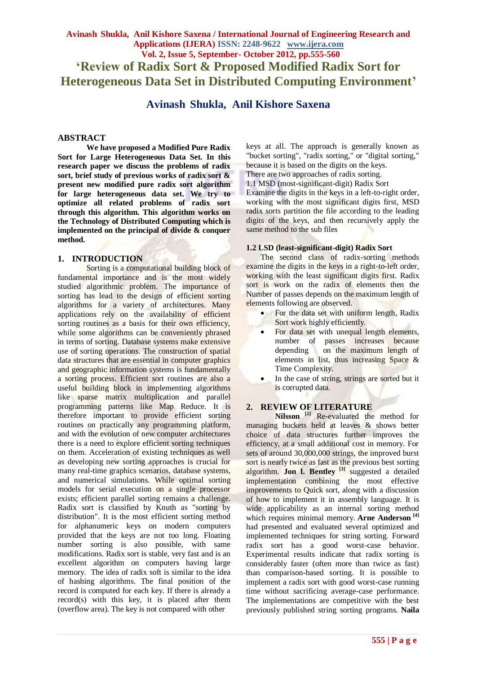# **Avinash Shukla, Anil Kishore Saxena / International Journal of Engineering Research and Applications (IJERA) ISSN: 2248-9622 www.ijera.com Vol. 2, Issue 5, September- October 2012, pp.555-560 'Review of Radix Sort & Proposed Modified Radix Sort for Heterogeneous Data Set in Distributed Computing Environment'**

**Avinash Shukla, Anil Kishore Saxena**

## **ABSTRACT**

**We have proposed a Modified Pure Radix Sort for Large Heterogeneous Data Set. In this research paper we discuss the problems of radix sort, brief study of previous works of radix sort & present new modified pure radix sort algorithm for large heterogeneous data set. We try to optimize all related problems of radix sort through this algorithm. This algorithm works on the Technology of Distributed Computing which is implemented on the principal of divide & conquer method.**

#### **1. INTRODUCTION**

Sorting is a computational building block of fundamental importance and is the most widely studied algorithmic problem. The importance of sorting has lead to the design of efficient sorting algorithms for a variety of architectures. Many applications rely on the availability of efficient sorting routines as a basis for their own efficiency, while some algorithms can be conveniently phrased in terms of sorting. Database systems make extensive use of sorting operations. The construction of spatial data structures that are essential in computer graphics and geographic information systems is fundamentally a sorting process. Efficient sort routines are also a useful building block in implementing algorithms like sparse matrix multiplication and parallel programming patterns like Map Reduce. It is therefore important to provide efficient sorting routines on practically any programming platform, and with the evolution of new computer architectures there is a need to explore efficient sorting techniques on them. Acceleration of existing techniques as well as developing new sorting approaches is crucial for many real-time graphics scenarios, database systems, and numerical simulations. While optimal sorting models for serial execution on a single processor exists; efficient parallel sorting remains a challenge. Radix sort is classified by Knuth as "sorting by distribution". It is the most efficient sorting method for alphanumeric keys on modern computers provided that the keys are not too long. Floating number sorting is also possible, with same modifications. Radix sort is stable, very fast and is an excellent algorithm on computers having large memory. The idea of radix soft is similar to the idea of hashing algorithms. The final position of the record is computed for each key. If there is already a record(s) with this key, it is placed after them (overflow area). The key is not compared with other

keys at all. The approach is generally known as "bucket sorting", "radix sorting," or "digital sorting," because it is based on the digits on the keys. There are two approaches of radix sorting. 1.1 MSD (most-significant-digit) Radix Sort

Examine the digits in the keys in a left-to-right order, working with the most significant digits first, MSD radix sorts partition the file according to the leading digits of the keys, and then recursively apply the same method to the sub files

#### **1.2 LSD (least-significant-digit) Radix Sort**

The second class of radix-sorting methods examine the digits in the keys in a right-to-left order, working with the least significant digits first. Radix sort is work on the radix of elements then the Number of passes depends on the maximum length of elements following are observed.

- For the data set with uniform length, Radix Sort work highly efficiently.
- For data set with unequal length elements, number of passes increases because depending on the maximum length of elements in list, thus increasing Space & Time Complexity.
- In the case of string, strings are sorted but it is corrupted data.

# **2. REVIEW OF LITERATURE**

**Nilsson [2]** Re-evaluated the method for managing buckets held at leaves & shows better choice of data structures further improves the efficiency, at a small additional cost in memory. For sets of around 30,000,000 strings, the improved burst sort is nearly twice as fast as the previous best sorting algorithm. **Jon l. Bentley [3]** suggested a detailed implementation combining the most effective improvements to Quick sort, along with a discussion of how to implement it in assembly language. It is wide applicability as an internal sorting method which requires minimal memory. **Arne Anderson [4]** had presented and evaluated several optimized and implemented techniques for string sorting. Forward radix sort has a good worst-case behavior. Experimental results indicate that radix sorting is considerably faster (often more than twice as fast) than comparison-based sorting. It is possible to implement a radix sort with good worst-case running time without sacrificing average-case performance. The implementations are competitive with the best previously published string sorting programs. **Naila**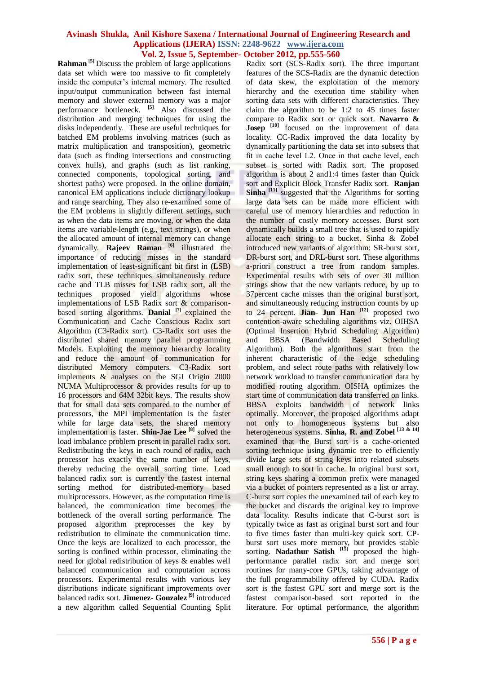**Rahman [5]** Discuss the problem of large applications data set which were too massive to fit completely inside the computer's internal memory. The resulted input/output communication between fast internal memory and slower external memory was a major performance bottleneck. **[5]** Also discussed the distribution and merging techniques for using the disks independently. These are useful techniques for batched EM problems involving matrices (such as matrix multiplication and transposition), geometric data (such as finding intersections and constructing convex hulls), and graphs (such as list ranking, connected components, topological sorting, and shortest paths) were proposed. In the online domain, canonical EM applications include dictionary lookup and range searching. They also re-examined some of the EM problems in slightly different settings, such as when the data items are moving, or when the data items are variable-length (e.g., text strings), or when the allocated amount of internal memory can change dynamically. **Rajeev Raman [6]** illustrated the importance of reducing misses in the standard implementation of least-significant bit first in (LSB) radix sort, these techniques simultaneously reduce cache and TLB misses for LSB radix sort, all the techniques proposed yield algorithms whose implementations of LSB Radix sort & comparisonbased sorting algorithms. **Danial [7]** explained the Communication and Cache Conscious Radix sort Algorithm (C3-Radix sort). C3-Radix sort uses the distributed shared memory parallel programming Models. Exploiting the memory hierarchy locality and reduce the amount of communication for distributed Memory computers. C3-Radix sort implements & analyses on the SGI Origin 2000 NUMA Multiprocessor & provides results for up to 16 processors and 64M 32bit keys. The results show that for small data sets compared to the number of processors, the MPI implementation is the faster while for large data sets, the shared memory implementation is faster. **Shin-Jae Lee [8]** solved the load imbalance problem present in parallel radix sort. Redistributing the keys in each round of radix, each processor has exactly the same number of keys, thereby reducing the overall sorting time. Load balanced radix sort is currently the fastest internal sorting method for distributed-memory based multiprocessors. However, as the computation time is balanced, the communication time becomes the bottleneck of the overall sorting performance. The proposed algorithm preprocesses the key by redistribution to eliminate the communication time. Once the keys are localized to each processor, the sorting is confined within processor, eliminating the need for global redistribution of keys & enables well balanced communication and computation across processors. Experimental results with various key distributions indicate significant improvements over balanced radix sort. **Jimenez- Gonzalez [9]** introduced a new algorithm called Sequential Counting Split

Radix sort (SCS-Radix sort). The three important features of the SCS-Radix are the dynamic detection of data skew, the exploitation of the memory hierarchy and the execution time stability when sorting data sets with different characteristics. They claim the algorithm to be 1:2 to 45 times faster compare to Radix sort or quick sort. **Navarro & Josep** <sup>[10]</sup> focused on the improvement of data locality. CC-Radix improved the data locality by dynamically partitioning the data set into subsets that fit in cache level L2. Once in that cache level, each subset is sorted with Radix sort. The proposed algorithm is about 2 and1:4 times faster than Quick sort and Explicit Block Transfer Radix sort. **Ranjan Sinha** <sup>[11]</sup> suggested that the Algorithms for sorting large data sets can be made more efficient with careful use of memory hierarchies and reduction in the number of costly memory accesses. Burst sort dynamically builds a small tree that is used to rapidly allocate each string to a bucket. Sinha & Zobel introduced new variants of algorithm: SR-burst sort, DR-burst sort, and DRL-burst sort. These algorithms a-priori construct a tree from random samples. Experimental results with sets of over 30 million strings show that the new variants reduce, by up to 37percent cache misses than the original burst sort, and simultaneously reducing instruction counts by up to 24 percent. **Jian- Jun Han [12]** proposed two contention-aware scheduling algorithms viz. OIHSA (Optimal Insertion Hybrid Scheduling Algorithm) and BBSA (Bandwidth Based Scheduling Algorithm). Both the algorithms start from the inherent characteristic of the edge scheduling problem, and select route paths with relatively low network workload to transfer communication data by modified routing algorithm. OISHA optimizes the start time of communication data transferred on links. BBSA exploits bandwidth of network links optimally. Moreover, the proposed algorithms adapt not only to homogeneous systems but also heterogeneous systems. **Sinha, R. and Zobel [13 & 14]** examined that the Burst sort is a cache-oriented sorting technique using dynamic tree to efficiently divide large sets of string keys into related subsets small enough to sort in cache. In original burst sort, string keys sharing a common prefix were managed via a bucket of pointers represented as a list or array. C-burst sort copies the unexamined tail of each key to the bucket and discards the original key to improve data locality. Results indicate that C-burst sort is typically twice as fast as original burst sort and four to five times faster than multi-key quick sort. CPburst sort uses more memory, but provides stable sorting. **Nadathur Satish [15]** proposed the highperformance parallel radix sort and merge sort routines for many-core GPUs, taking advantage of the full programmability offered by CUDA. Radix sort is the fastest GPU sort and merge sort is the fastest comparison-based sort reported in the literature. For optimal performance, the algorithm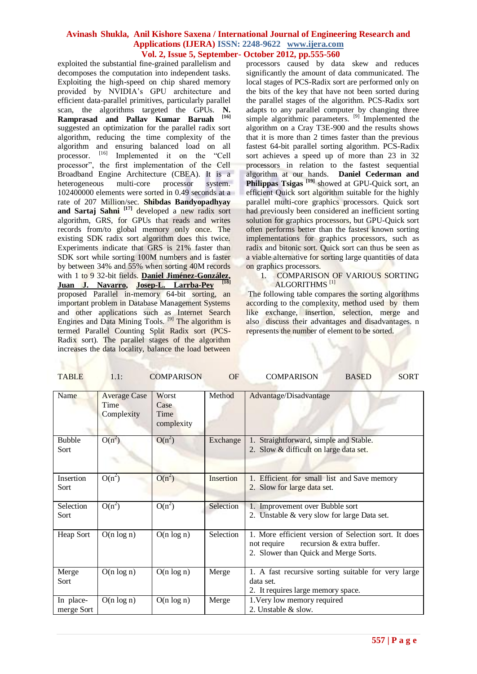exploited the substantial fine-grained parallelism and decomposes the computation into independent tasks. Exploiting the high-speed on chip shared memory provided by NVIDIA's GPU architecture and efficient data-parallel primitives, particularly parallel scan, the algorithms targeted the GPUs. **N. Ramprasad and Pallav Kumar Baruah [16]** suggested an optimization for the parallel radix sort algorithm, reducing the time complexity of the algorithm and ensuring balanced load on all processor. [16] Implemented it on the "Cell processor", the first implementation of the Cell Broadband Engine Architecture (CBEA). It is a heterogeneous multi-core processor system. 102400000 elements were sorted in 0.49 seconds at a rate of 207 Million/sec. **Shibdas Bandyopadhyay and Sartaj Sahni [17]** developed a new radix sort algorithm, GRS, for GPUs that reads and writes records from/to global memory only once. The existing SDK radix sort algorithm does this twice. Experiments indicate that GRS is 21% faster than SDK sort while sorting 100M numbers and is faster by between 34% and 55% when sorting 40M records with 1 to 9 32-bit fields. **[Daniel Jiménez-González,](http://dl.acm.org/author_page.cfm?id=81100608146&coll=DL&dl=ACM&trk=0&cfid=81383426&cftoken=86729729) [Juan J. Navarro,](http://dl.acm.org/author_page.cfm?id=81100113650&coll=DL&dl=ACM&trk=0&cfid=81383426&cftoken=86729729) [Josep-L. Larrba-Pey](http://dl.acm.org/author_page.cfm?id=81332511005&coll=DL&dl=ACM&trk=0&cfid=81383426&cftoken=86729729) [18]** proposed Parallel in-memory 64-bit sorting, an important problem in Database Management Systems and other applications such as Internet Search Engines and Data Mining Tools.  $[9]$  The algorithm is termed Parallel Counting Split Radix sort (PCS-Radix sort). The parallel stages of the algorithm increases the data locality, balance the load between

processors caused by data skew and reduces significantly the amount of data communicated. The local stages of PCS-Radix sort are performed only on the bits of the key that have not been sorted during the parallel stages of the algorithm. PCS-Radix sort adapts to any parallel computer by changing three simple algorithmic parameters.  $^{[9]}$  Implemented the algorithm on a Cray T3E-900 and the results shows that it is more than 2 times faster than the previous fastest 64-bit parallel sorting algorithm. PCS-Radix sort achieves a speed up of more than 23 in 32 processors in relation to the fastest sequential algorithm at our hands. **Daniel Cederman and Philippas Tsigas [19]** showed at GPU-Quick sort, an efficient Quick sort algorithm suitable for the highly parallel multi-core graphics processors. Quick sort had previously been considered an inefficient sorting solution for graphics processors, but GPU-Quick sort often performs better than the fastest known sorting implementations for graphics processors, such as radix and bitonic sort. Quick sort can thus be seen as a viable alternative for sorting large quantities of data on graphics processors.

#### 1. COMPARISON OF VARIOUS SORTING ALGORITHMS<sup>[1]</sup>

The following table compares the sorting algorithms according to the complexity, method used by them like exchange, insertion, selection, merge and also discuss their advantages and disadvantages. n represents the number of element to be sorted.

| Name                    | <b>Average Case</b><br>Time<br>Complexity | Worst<br>Case<br>Time<br>complexity | Method    | Advantage/Disadvantage                                                                                                                    |
|-------------------------|-------------------------------------------|-------------------------------------|-----------|-------------------------------------------------------------------------------------------------------------------------------------------|
| <b>Bubble</b><br>Sort   | $O(n^2)$                                  | $O(n^2)$                            | Exchange  | Straightforward, simple and Stable.<br>1.<br>2. Slow & difficult on large data set.                                                       |
| Insertion<br>Sort       | $O(n^2)$                                  | $O(n^2)$                            | Insertion | 1. Efficient for small list and Save memory<br>2. Slow for large data set.                                                                |
| Selection<br>Sort       | $O(n^2)$                                  | $O(n^2)$                            | Selection | 1. Improvement over Bubble sort<br>2. Unstable & very slow for large Data set.                                                            |
| Heap Sort               | $O(n \log n)$                             | $O(n \log n)$                       | Selection | 1. More efficient version of Selection sort. It does<br>recursion & extra buffer.<br>not require<br>2. Slower than Quick and Merge Sorts. |
| Merge<br>Sort           | $O(n \log n)$                             | $O(n \log n)$                       | Merge     | 1. A fast recursive sorting suitable for very large<br>data set.<br>2. It requires large memory space.                                    |
| In place-<br>merge Sort | $O(n \log n)$                             | $O(n \log n)$                       | Merge     | 1. Very low memory required<br>2. Unstable & slow.                                                                                        |

TABLE 1.1: COMPARISON OF COMPARISON BASED SORT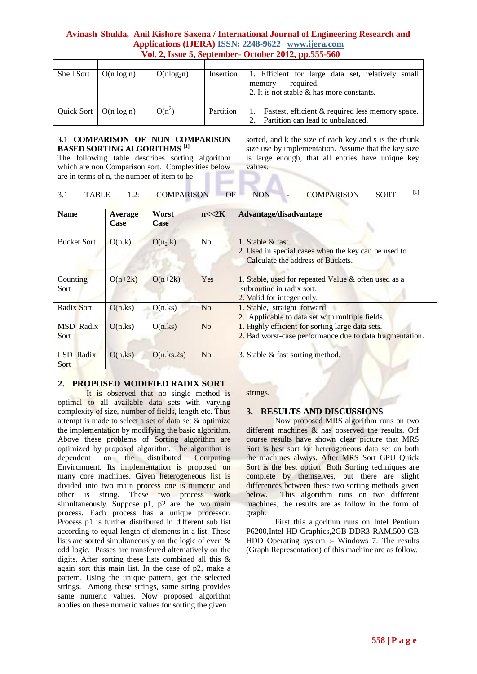| Shell Sort | $O(n \log n)$ | $O(n \log_2 n)$ | Insertion | Efficient for large data set, relatively small<br>Ι.<br>required.<br>memory<br>2. It is not stable & has more constants. |
|------------|---------------|-----------------|-----------|--------------------------------------------------------------------------------------------------------------------------|
|            |               |                 |           |                                                                                                                          |
| Quick Sort | $O(n \log n)$ | $O(n^2)$        | Partition | Fastest, efficient & required less memory space.<br>Partition can lead to unbalanced.                                    |

#### **3.1 COMPARISON OF NON COMPARISON BASED SORTING ALGORITHMS [1]**

The following table describes sorting algorithm which are non Comparison sort. Complexities below are in terms of n, the number of item to be

sorted, and k the size of each key and s is the chunk size use by implementation. Assume that the key size is large enough, that all entries have unique key values.

| <b>TABLE</b> | <b>COMPARISON</b> | <b>NON</b> | <b>COMPARISON</b> | <b>SORT</b> |  |
|--------------|-------------------|------------|-------------------|-------------|--|
|              |                   |            |                   |             |  |

| <b>Name</b>              | <b>Average</b><br><b>Case</b> | Worst<br>Case | n < 2K         | Advantage/disadvantage                                                                                          |
|--------------------------|-------------------------------|---------------|----------------|-----------------------------------------------------------------------------------------------------------------|
| <b>Bucket Sort</b>       | O(n.k)                        | $O(n_2.k)$    | N <sub>o</sub> | 1. Stable & fast.<br>2. Used in special cases when the key can be used to<br>Calculate the address of Buckets.  |
| Counting<br>Sort         | $O(n+2k)$                     | $O(n+2k)$     | Yes            | 1. Stable, used for repeated Value & often used as a<br>subroutine in radix sort.<br>2. Valid for integer only. |
| Radix Sort               | O(n.ks)                       | O(n.ks)       | N <sub>o</sub> | 1. Stable, straight forward<br>2. Applicable to data set with multiple fields.                                  |
| <b>MSD</b> Radix<br>Sort | O(n.ks)                       | O(n.ks)       | N <sub>o</sub> | 1. Highly efficient for sorting large data sets.<br>2. Bad worst-case performance due to data fragmentation.    |
| LSD Radix<br>Sort.       | O(n.ks)                       | O(n.ks.2s)    | N <sub>o</sub> | 3. Stable & fast sorting method.                                                                                |

# **2. PROPOSED MODIFIED RADIX SORT**

It is observed that no single method is optimal to all available data sets with varying complexity of size, number of fields, length etc. Thus attempt is made to select a set of data set & optimize the implementation by modifying the basic algorithm. Above these problems of Sorting algorithm are optimized by proposed algorithm. The algorithm is dependent on the distributed Computing Environment. Its implementation is proposed on many core machines. Given heterogeneous list is divided into two main process one is numeric and other is string. These two process work simultaneously. Suppose p1, p2 are the two main process. Each process has a unique processor. Process p1 is further distributed in different sub list according to equal length of elements in a list. These lists are sorted simultaneously on the logic of even & odd logic. Passes are transferred alternatively on the digits. After sorting these lists combined all this & again sort this main list. In the case of p2, make a pattern. Using the unique pattern, get the selected strings. Among these strings, same string provides same numeric values. Now proposed algorithm applies on these numeric values for sorting the given

#### strings.

# **3. RESULTS AND DISCUSSIONS**

Now proposed MRS algorithm runs on two different machines & has observed the results. Off course results have shown clear picture that MRS Sort is best sort for heterogeneous data set on both the machines always. After MRS Sort GPU Quick Sort is the best option. Both Sorting techniques are complete by themselves, but there are slight differences between these two sorting methods given below. This algorithm runs on two different machines, the results are as follow in the form of graph.

First this algorithm runs on Intel Pentium P6200,Intel HD Graphics,2GB DDR3 RAM,500 GB HDD Operating system :- Windows 7. The results (Graph Representation) of this machine are as follow.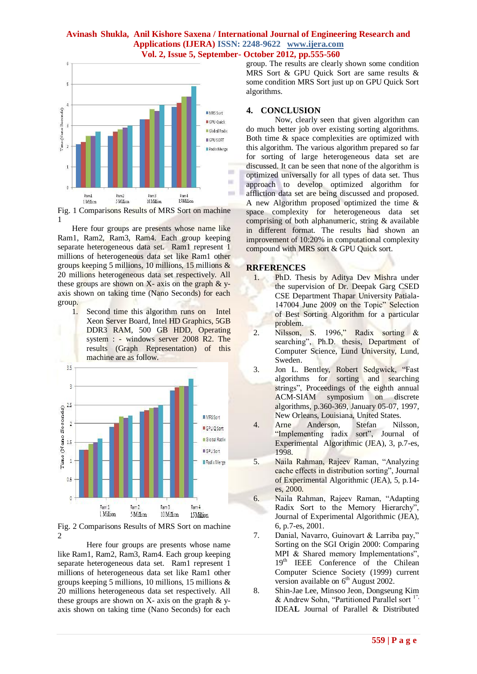

Fig. 1 Comparisons Results of MRS Sort on machine 1

Here four groups are presents whose name like Ram1, Ram2, Ram3, Ram4. Each group keeping separate heterogeneous data set. Ram1 represent 1 millions of heterogeneous data set like Ram1 other groups keeping 5 millions, 10 millions, 15 millions & 20 millions heterogeneous data set respectively. All these groups are shown on  $X$ - axis on the graph  $\&$  yaxis shown on taking time (Nano Seconds) for each group.

1. Second time this algorithm runs on Intel Xeon Server Board, Intel HD Graphics, 5GB DDR3 RAM, 500 GB HDD, Operating system : - windows server 2008 R2. The results (Graph Representation) of this machine are as follow.



Fig. 2 Comparisons Results of MRS Sort on machine  $\mathfrak{D}$ 

Here four groups are presents whose name like Ram1, Ram2, Ram3, Ram4. Each group keeping separate heterogeneous data set. Ram1 represent 1 millions of heterogeneous data set like Ram1 other groups keeping 5 millions, 10 millions, 15 millions & 20 millions heterogeneous data set respectively. All these groups are shown on  $X$ - axis on the graph  $\& \circ$ axis shown on taking time (Nano Seconds) for each

group. The results are clearly shown some condition MRS Sort & GPU Quick Sort are same results & some condition MRS Sort just up on GPU Quick Sort algorithms.

### **4. CONCLUSION**

Now, clearly seen that given algorithm can do much better job over existing sorting algorithms. Both time & space complexities are optimized with this algorithm. The various algorithm prepared so far for sorting of large heterogeneous data set are discussed. It can be seen that none of the algorithm is optimized universally for all types of data set. Thus approach to develop optimized algorithm for affliction data set are being discussed and proposed. A new Algorithm proposed optimized the time & space complexity for heterogeneous data set comprising of both alphanumeric, string & available in different format. The results had shown an improvement of 10:20% in computational complexity compound with MRS sort & GPU Quick sort.

### **RRFERENCES**

- 1. PhD. Thesis by Aditya Dev Mishra under the supervision of Dr. Deepak Garg CSED CSE Department Thapar University Patiala-147004 June 2009 on the Topic" Selection of Best Sorting Algorithm for a particular problem.
- 2. Nilsson, S. 1996," Radix sorting & searching", Ph.D. thesis, Department of Computer Science, Lund University, Lund, Sweden.
- 3. Jon L. Bentley, Robert Sedgwick, "Fast algorithms for sorting and searching strings", Proceedings of the eighth annual ACM-SIAM symposium on discrete algorithms, p.360-369, January 05-07, 1997, New Orleans, Louisiana, United States.
- 4. Arne Anderson, Stefan Nilsson, "Implementing radix sort", Journal of Experimental Algorithmic (JEA), 3, p.7-es, 1998.
- 5. Naila Rahman, Rajeev Raman, "Analyzing cache effects in distribution sorting", Journal of Experimental Algorithmic (JEA), 5, p.14 es, 2000.
- 6. Naila Rahman, Rajeev Raman, "Adapting Radix Sort to the Memory Hierarchy", Journal of Experimental Algorithmic (JEA), 6, p.7-es, 2001.
- 7. Danial, Navarro, Guinovart & Larriba pay," Sorting on the SGI Origin 2000: Comparing MPI & Shared memory Implementations", 19<sup>th</sup> IEEE Conference of the Chilean Computer Science Society (1999) current version available on  $6<sup>th</sup>$  August 2002.
- 8. Shin-Jae Lee, Minsoo Jeon, Dongseung Kim & Andrew Sohn, "Partitioned Parallel sort  $1$ ", IDEA**L** Journal of Parallel & Distributed